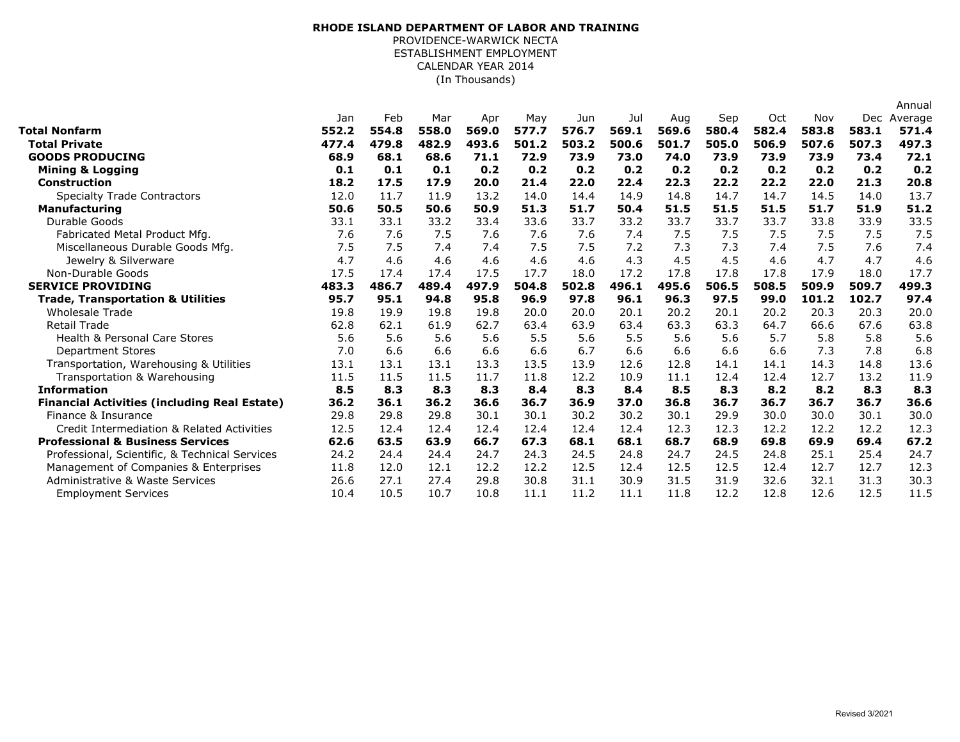## (In Thousands) **RHODE ISLAND DEPARTMENT OF LABOR AND TRAINING** PROVIDENCE-WARWICK NECTA ESTABLISHMENT EMPLOYMENT CALENDAR YEAR 2014

|                                                     |       |       |       |       |       |       |       |       |       |       |       |       | Annual  |
|-----------------------------------------------------|-------|-------|-------|-------|-------|-------|-------|-------|-------|-------|-------|-------|---------|
|                                                     | Jan   | Feb   | Mar   | Apr   | May   | Jun   | Jul   | Aug   | Sep   | Oct   | Nov   | Dec   | Average |
| Total Nonfarm                                       | 552.2 | 554.8 | 558.0 | 569.0 | 577.7 | 576.7 | 569.1 | 569.6 | 580.4 | 582.4 | 583.8 | 583.1 | 571.4   |
| <b>Total Private</b>                                | 477.4 | 479.8 | 482.9 | 493.6 | 501.2 | 503.2 | 500.6 | 501.7 | 505.0 | 506.9 | 507.6 | 507.3 | 497.3   |
| <b>GOODS PRODUCING</b>                              | 68.9  | 68.1  | 68.6  | 71.1  | 72.9  | 73.9  | 73.0  | 74.0  | 73.9  | 73.9  | 73.9  | 73.4  | 72.1    |
| <b>Mining &amp; Logging</b>                         | 0.1   | 0.1   | 0.1   | 0.2   | 0.2   | 0.2   | 0.2   | 0.2   | 0.2   | 0.2   | 0.2   | 0.2   | 0.2     |
| <b>Construction</b>                                 | 18.2  | 17.5  | 17.9  | 20.0  | 21.4  | 22.0  | 22.4  | 22.3  | 22.2  | 22.2  | 22.0  | 21.3  | 20.8    |
| <b>Specialty Trade Contractors</b>                  | 12.0  | 11.7  | 11.9  | 13.2  | 14.0  | 14.4  | 14.9  | 14.8  | 14.7  | 14.7  | 14.5  | 14.0  | 13.7    |
| <b>Manufacturing</b>                                | 50.6  | 50.5  | 50.6  | 50.9  | 51.3  | 51.7  | 50.4  | 51.5  | 51.5  | 51.5  | 51.7  | 51.9  | 51.2    |
| Durable Goods                                       | 33.1  | 33.1  | 33.2  | 33.4  | 33.6  | 33.7  | 33.2  | 33.7  | 33.7  | 33.7  | 33.8  | 33.9  | 33.5    |
| Fabricated Metal Product Mfg.                       | 7.6   | 7.6   | 7.5   | 7.6   | 7.6   | 7.6   | 7.4   | 7.5   | 7.5   | 7.5   | 7.5   | 7.5   | 7.5     |
| Miscellaneous Durable Goods Mfg.                    | 7.5   | 7.5   | 7.4   | 7.4   | 7.5   | 7.5   | 7.2   | 7.3   | 7.3   | 7.4   | 7.5   | 7.6   | 7.4     |
| Jewelry & Silverware                                | 4.7   | 4.6   | 4.6   | 4.6   | 4.6   | 4.6   | 4.3   | 4.5   | 4.5   | 4.6   | 4.7   | 4.7   | 4.6     |
| Non-Durable Goods                                   | 17.5  | 17.4  | 17.4  | 17.5  | 17.7  | 18.0  | 17.2  | 17.8  | 17.8  | 17.8  | 17.9  | 18.0  | 17.7    |
| <b>SERVICE PROVIDING</b>                            | 483.3 | 486.7 | 489.4 | 497.9 | 504.8 | 502.8 | 496.1 | 495.6 | 506.5 | 508.5 | 509.9 | 509.7 | 499.3   |
| <b>Trade, Transportation &amp; Utilities</b>        | 95.7  | 95.1  | 94.8  | 95.8  | 96.9  | 97.8  | 96.1  | 96.3  | 97.5  | 99.0  | 101.2 | 102.7 | 97.4    |
| <b>Wholesale Trade</b>                              | 19.8  | 19.9  | 19.8  | 19.8  | 20.0  | 20.0  | 20.1  | 20.2  | 20.1  | 20.2  | 20.3  | 20.3  | 20.0    |
| <b>Retail Trade</b>                                 | 62.8  | 62.1  | 61.9  | 62.7  | 63.4  | 63.9  | 63.4  | 63.3  | 63.3  | 64.7  | 66.6  | 67.6  | 63.8    |
| <b>Health &amp; Personal Care Stores</b>            | 5.6   | 5.6   | 5.6   | 5.6   | 5.5   | 5.6   | 5.5   | 5.6   | 5.6   | 5.7   | 5.8   | 5.8   | 5.6     |
| <b>Department Stores</b>                            | 7.0   | 6.6   | 6.6   | 6.6   | 6.6   | 6.7   | 6.6   | 6.6   | 6.6   | 6.6   | 7.3   | 7.8   | 6.8     |
| Transportation, Warehousing & Utilities             | 13.1  | 13.1  | 13.1  | 13.3  | 13.5  | 13.9  | 12.6  | 12.8  | 14.1  | 14.1  | 14.3  | 14.8  | 13.6    |
| Transportation & Warehousing                        | 11.5  | 11.5  | 11.5  | 11.7  | 11.8  | 12.2  | 10.9  | 11.1  | 12.4  | 12.4  | 12.7  | 13.2  | 11.9    |
| <b>Information</b>                                  | 8.5   | 8.3   | 8.3   | 8.3   | 8.4   | 8.3   | 8.4   | 8.5   | 8.3   | 8.2   | 8.2   | 8.3   | 8.3     |
| <b>Financial Activities (including Real Estate)</b> | 36.2  | 36.1  | 36.2  | 36.6  | 36.7  | 36.9  | 37.0  | 36.8  | 36.7  | 36.7  | 36.7  | 36.7  | 36.6    |
| Finance & Insurance                                 | 29.8  | 29.8  | 29.8  | 30.1  | 30.1  | 30.2  | 30.2  | 30.1  | 29.9  | 30.0  | 30.0  | 30.1  | 30.0    |
| Credit Intermediation & Related Activities          | 12.5  | 12.4  | 12.4  | 12.4  | 12.4  | 12.4  | 12.4  | 12.3  | 12.3  | 12.2  | 12.2  | 12.2  | 12.3    |
| <b>Professional &amp; Business Services</b>         | 62.6  | 63.5  | 63.9  | 66.7  | 67.3  | 68.1  | 68.1  | 68.7  | 68.9  | 69.8  | 69.9  | 69.4  | 67.2    |
| Professional, Scientific, & Technical Services      | 24.2  | 24.4  | 24.4  | 24.7  | 24.3  | 24.5  | 24.8  | 24.7  | 24.5  | 24.8  | 25.1  | 25.4  | 24.7    |
| Management of Companies & Enterprises               | 11.8  | 12.0  | 12.1  | 12.2  | 12.2  | 12.5  | 12.4  | 12.5  | 12.5  | 12.4  | 12.7  | 12.7  | 12.3    |
| Administrative & Waste Services                     | 26.6  | 27.1  | 27.4  | 29.8  | 30.8  | 31.1  | 30.9  | 31.5  | 31.9  | 32.6  | 32.1  | 31.3  | 30.3    |
| <b>Employment Services</b>                          | 10.4  | 10.5  | 10.7  | 10.8  | 11.1  | 11.2  | 11.1  | 11.8  | 12.2  | 12.8  | 12.6  | 12.5  | 11.5    |